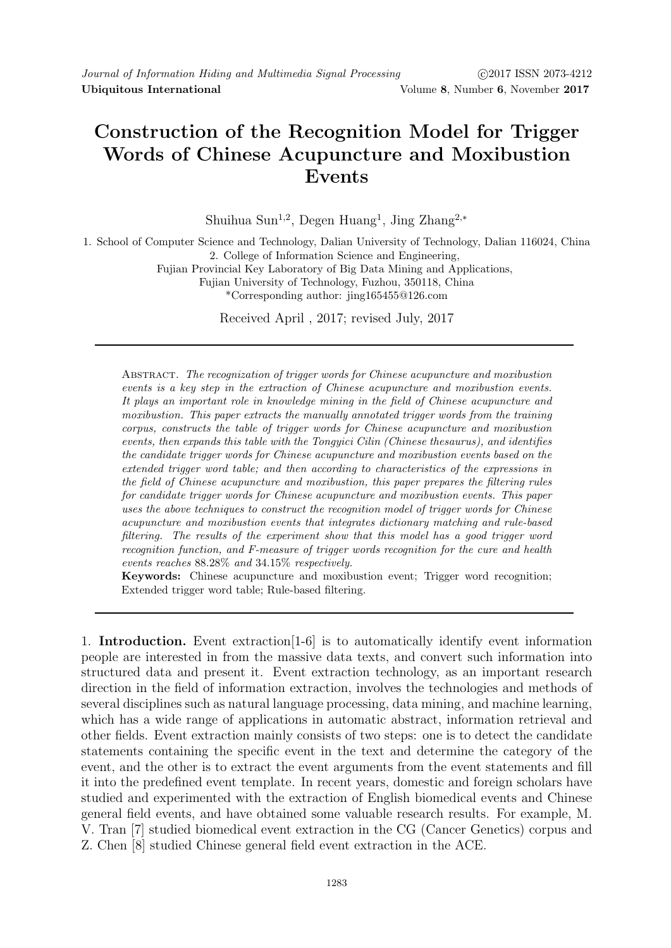## Construction of the Recognition Model for Trigger Words of Chinese Acupuncture and Moxibustion Events

Shuihua Sun<sup>1,2</sup>, Degen Huang<sup>1</sup>, Jing Zhang<sup>2,\*</sup>

1. School of Computer Science and Technology, Dalian University of Technology, Dalian 116024, China 2. College of Information Science and Engineering,

Fujian Provincial Key Laboratory of Big Data Mining and Applications,

Fujian University of Technology, Fuzhou, 350118, China

\*Corresponding author: jing165455@126.com

Received April , 2017; revised July, 2017

Abstract. The recognization of trigger words for Chinese acupuncture and moxibustion events is a key step in the extraction of Chinese acupuncture and moxibustion events. It plays an important role in knowledge mining in the field of Chinese acupuncture and moxibustion. This paper extracts the manually annotated trigger words from the training corpus, constructs the table of trigger words for Chinese acupuncture and moxibustion events, then expands this table with the Tongyici Cilin (Chinese thesaurus), and identifies the candidate trigger words for Chinese acupuncture and moxibustion events based on the extended trigger word table; and then according to characteristics of the expressions in the field of Chinese acupuncture and moxibustion, this paper prepares the filtering rules for candidate trigger words for Chinese acupuncture and moxibustion events. This paper uses the above techniques to construct the recognition model of trigger words for Chinese acupuncture and moxibustion events that integrates dictionary matching and rule-based filtering. The results of the experiment show that this model has a good trigger word recognition function, and F-measure of trigger words recognition for the cure and health events reaches 88.28% and 34.15% respectively.

Keywords: Chinese acupuncture and moxibustion event; Trigger word recognition; Extended trigger word table; Rule-based filtering.

1. Introduction. Event extraction[1-6] is to automatically identify event information people are interested in from the massive data texts, and convert such information into structured data and present it. Event extraction technology, as an important research direction in the field of information extraction, involves the technologies and methods of several disciplines such as natural language processing, data mining, and machine learning, which has a wide range of applications in automatic abstract, information retrieval and other fields. Event extraction mainly consists of two steps: one is to detect the candidate statements containing the specific event in the text and determine the category of the event, and the other is to extract the event arguments from the event statements and fill it into the predefined event template. In recent years, domestic and foreign scholars have studied and experimented with the extraction of English biomedical events and Chinese general field events, and have obtained some valuable research results. For example, M. V. Tran [7] studied biomedical event extraction in the CG (Cancer Genetics) corpus and Z. Chen [8] studied Chinese general field event extraction in the ACE.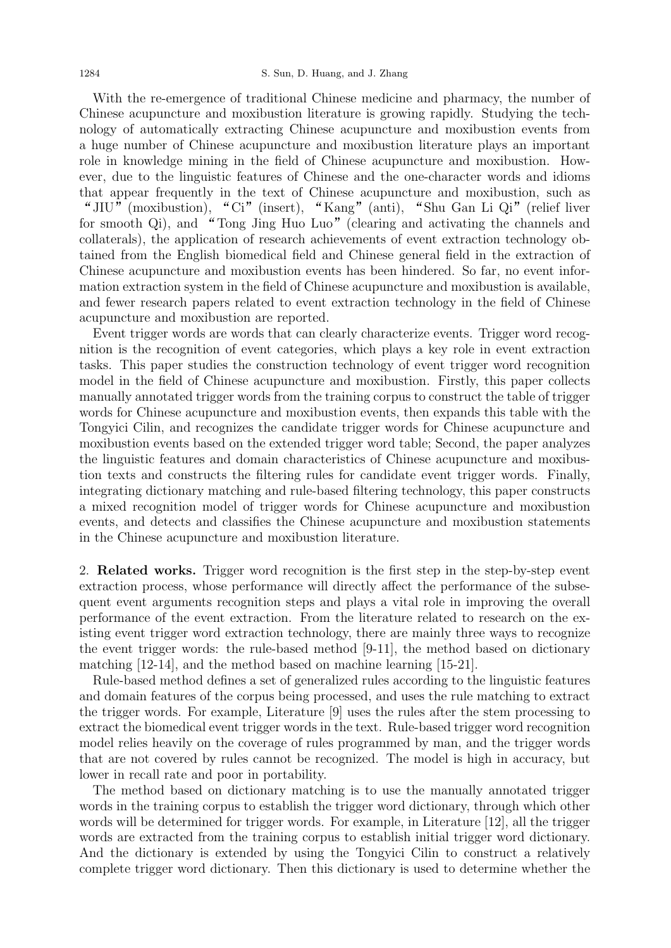With the re-emergence of traditional Chinese medicine and pharmacy, the number of Chinese acupuncture and moxibustion literature is growing rapidly. Studying the technology of automatically extracting Chinese acupuncture and moxibustion events from a huge number of Chinese acupuncture and moxibustion literature plays an important role in knowledge mining in the field of Chinese acupuncture and moxibustion. However, due to the linguistic features of Chinese and the one-character words and idioms that appear frequently in the text of Chinese acupuncture and moxibustion, such as /In the text of Chinese and the one enarated words and ideoms<br>at appear frequently in the text of Chinese acupuncture and moxibustion, such as<br>JIU" (moxibustion), "Ci" (insert), "Kang" (anti), "Shu Gan Li Qi" (relief liver for smooth Qi), and "Tong Jing Huo Luo" (clearing and activating the channels and for smooth Qi), and "Tong Jing Huo Luo" (clearing and activating the channels and collaterals), the application of research achievements of event extraction technology obtained from the English biomedical field and Chinese general field in the extraction of Chinese acupuncture and moxibustion events has been hindered. So far, no event information extraction system in the field of Chinese acupuncture and moxibustion is available, and fewer research papers related to event extraction technology in the field of Chinese acupuncture and moxibustion are reported.

Event trigger words are words that can clearly characterize events. Trigger word recognition is the recognition of event categories, which plays a key role in event extraction tasks. This paper studies the construction technology of event trigger word recognition model in the field of Chinese acupuncture and moxibustion. Firstly, this paper collects manually annotated trigger words from the training corpus to construct the table of trigger words for Chinese acupuncture and moxibustion events, then expands this table with the Tongyici Cilin, and recognizes the candidate trigger words for Chinese acupuncture and moxibustion events based on the extended trigger word table; Second, the paper analyzes the linguistic features and domain characteristics of Chinese acupuncture and moxibustion texts and constructs the filtering rules for candidate event trigger words. Finally, integrating dictionary matching and rule-based filtering technology, this paper constructs a mixed recognition model of trigger words for Chinese acupuncture and moxibustion events, and detects and classifies the Chinese acupuncture and moxibustion statements in the Chinese acupuncture and moxibustion literature.

2. Related works. Trigger word recognition is the first step in the step-by-step event extraction process, whose performance will directly affect the performance of the subsequent event arguments recognition steps and plays a vital role in improving the overall performance of the event extraction. From the literature related to research on the existing event trigger word extraction technology, there are mainly three ways to recognize the event trigger words: the rule-based method [9-11], the method based on dictionary matching [12-14], and the method based on machine learning [15-21].

Rule-based method defines a set of generalized rules according to the linguistic features and domain features of the corpus being processed, and uses the rule matching to extract the trigger words. For example, Literature [9] uses the rules after the stem processing to extract the biomedical event trigger words in the text. Rule-based trigger word recognition model relies heavily on the coverage of rules programmed by man, and the trigger words that are not covered by rules cannot be recognized. The model is high in accuracy, but lower in recall rate and poor in portability.

The method based on dictionary matching is to use the manually annotated trigger words in the training corpus to establish the trigger word dictionary, through which other words will be determined for trigger words. For example, in Literature [12], all the trigger words are extracted from the training corpus to establish initial trigger word dictionary. And the dictionary is extended by using the Tongyici Cilin to construct a relatively complete trigger word dictionary. Then this dictionary is used to determine whether the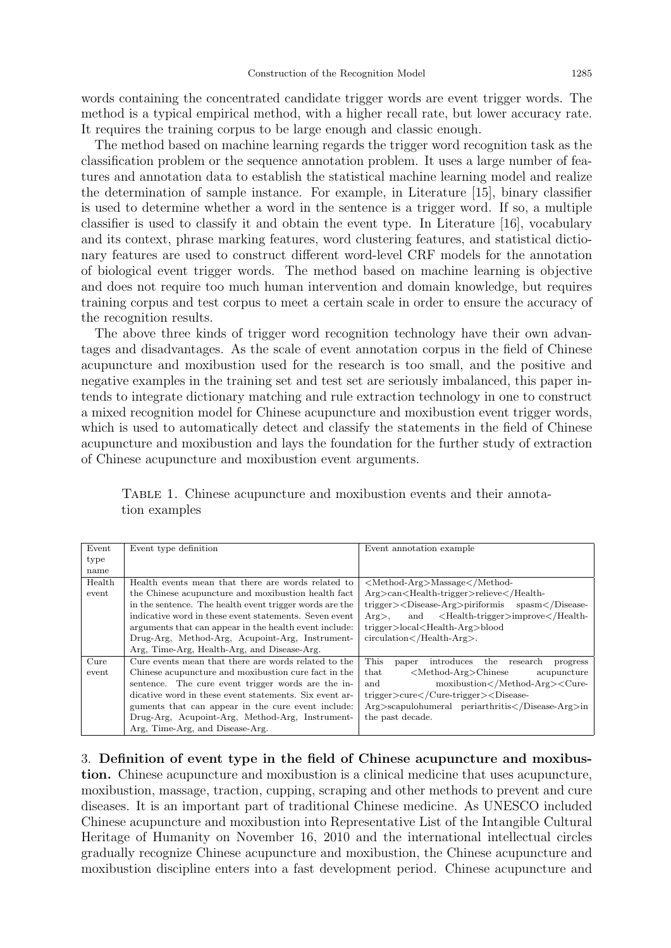words containing the concentrated candidate trigger words are event trigger words. The method is a typical empirical method, with a higher recall rate, but lower accuracy rate. It requires the training corpus to be large enough and classic enough.

The method based on machine learning regards the trigger word recognition task as the classification problem or the sequence annotation problem. It uses a large number of features and annotation data to establish the statistical machine learning model and realize the determination of sample instance. For example, in Literature [15], binary classifier is used to determine whether a word in the sentence is a trigger word. If so, a multiple classifier is used to classify it and obtain the event type. In Literature [16], vocabulary and its context, phrase marking features, word clustering features, and statistical dictionary features are used to construct different word-level CRF models for the annotation of biological event trigger words. The method based on machine learning is objective and does not require too much human intervention and domain knowledge, but requires training corpus and test corpus to meet a certain scale in order to ensure the accuracy of the recognition results.

The above three kinds of trigger word recognition technology have their own advantages and disadvantages. As the scale of event annotation corpus in the field of Chinese acupuncture and moxibustion used for the research is too small, and the positive and negative examples in the training set and test set are seriously imbalanced, this paper intends to integrate dictionary matching and rule extraction technology in one to construct a mixed recognition model for Chinese acupuncture and moxibustion event trigger words, which is used to automatically detect and classify the statements in the field of Chinese acupuncture and moxibustion and lays the foundation for the further study of extraction of Chinese acupuncture and moxibustion event arguments.

| Event            | Event type definition                                   | Event annotation example                                                    |  |  |
|------------------|---------------------------------------------------------|-----------------------------------------------------------------------------|--|--|
| type             |                                                         |                                                                             |  |  |
| name             |                                                         |                                                                             |  |  |
| Health           | Health events mean that there are words related to      | <method-arg>Massage</method-arg>                                            |  |  |
| event            | the Chinese acupuncture and moxibustion health fact     | Arg>can <health-trigger>relieve</health-trigger>                            |  |  |
|                  | in the sentence. The health event trigger words are the | trigger> <disease-arg>piriformis spasm</disease-arg>                        |  |  |
|                  | indicative word in these event statements. Seven event  | and $\langle$ Health-trigger>improve $\langle$ /Health-<br>$Arg$ ,          |  |  |
|                  | arguments that can appear in the health event include:  | trigger>local <health-arg>blood</health-arg>                                |  |  |
|                  | Drug-Arg, Method-Arg, Acupoint-Arg, Instrument-         | $circulation$ /Health-Arg >.                                                |  |  |
|                  | Arg, Time-Arg, Health-Arg, and Disease-Arg.             |                                                                             |  |  |
| $_{\text{Cure}}$ | Cure events mean that there are words related to the    | This<br>introduces the<br>research<br>paper<br>progress                     |  |  |
| event            | Chinese acupuncture and moxibustion cure fact in the    | $\langle \text{Method-Arg} \rangle$ Chinese<br>$_{\rm that}$<br>acupuncture |  |  |
|                  | sentence. The cure event trigger words are the in-      | moxibustion <cure-<br>and</cure-<br>                                        |  |  |
|                  | dicative word in these event statements. Six event ar-  | $trigger > curve < /Cure-trigger > <$ Disease-                              |  |  |
|                  | guments that can appear in the cure event include:      | $Arg$ >scapulohumeral periarthritis $\langle$ Disease-Arg>in                |  |  |
|                  | Drug-Arg, Acupoint-Arg, Method-Arg, Instrument-         | the past decade.                                                            |  |  |
|                  | Arg, Time-Arg, and Disease-Arg.                         |                                                                             |  |  |

Table 1. Chinese acupuncture and moxibustion events and their annotation examples

3. Definition of event type in the field of Chinese acupuncture and moxibustion. Chinese acupuncture and moxibustion is a clinical medicine that uses acupuncture, moxibustion, massage, traction, cupping, scraping and other methods to prevent and cure diseases. It is an important part of traditional Chinese medicine. As UNESCO included Chinese acupuncture and moxibustion into Representative List of the Intangible Cultural Heritage of Humanity on November 16, 2010 and the international intellectual circles gradually recognize Chinese acupuncture and moxibustion, the Chinese acupuncture and moxibustion discipline enters into a fast development period. Chinese acupuncture and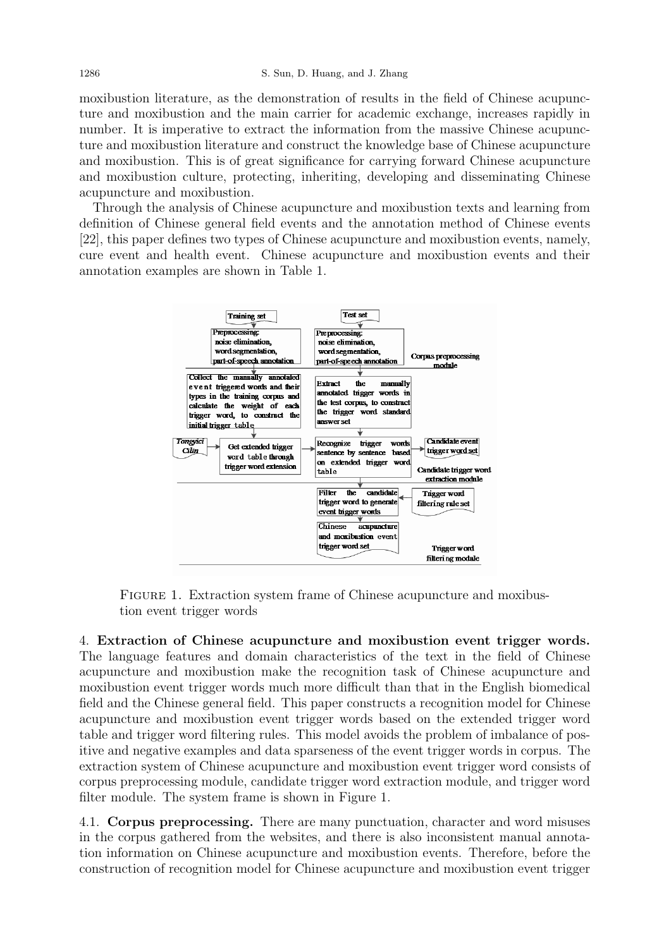moxibustion literature, as the demonstration of results in the field of Chinese acupuncture and moxibustion and the main carrier for academic exchange, increases rapidly in number. It is imperative to extract the information from the massive Chinese acupuncture and moxibustion literature and construct the knowledge base of Chinese acupuncture and moxibustion. This is of great significance for carrying forward Chinese acupuncture and moxibustion culture, protecting, inheriting, developing and disseminating Chinese acupuncture and moxibustion.

Through the analysis of Chinese acupuncture and moxibustion texts and learning from definition of Chinese general field events and the annotation method of Chinese events [22], this paper defines two types of Chinese acupuncture and moxibustion events, namely, cure event and health event. Chinese acupuncture and moxibustion events and their annotation examples are shown in Table 1.



FIGURE 1. Extraction system frame of Chinese acupuncture and moxibustion event trigger words

4. Extraction of Chinese acupuncture and moxibustion event trigger words. The language features and domain characteristics of the text in the field of Chinese acupuncture and moxibustion make the recognition task of Chinese acupuncture and moxibustion event trigger words much more difficult than that in the English biomedical field and the Chinese general field. This paper constructs a recognition model for Chinese acupuncture and moxibustion event trigger words based on the extended trigger word table and trigger word filtering rules. This model avoids the problem of imbalance of positive and negative examples and data sparseness of the event trigger words in corpus. The extraction system of Chinese acupuncture and moxibustion event trigger word consists of corpus preprocessing module, candidate trigger word extraction module, and trigger word filter module. The system frame is shown in Figure 1.

4.1. Corpus preprocessing. There are many punctuation, character and word misuses in the corpus gathered from the websites, and there is also inconsistent manual annotation information on Chinese acupuncture and moxibustion events. Therefore, before the construction of recognition model for Chinese acupuncture and moxibustion event trigger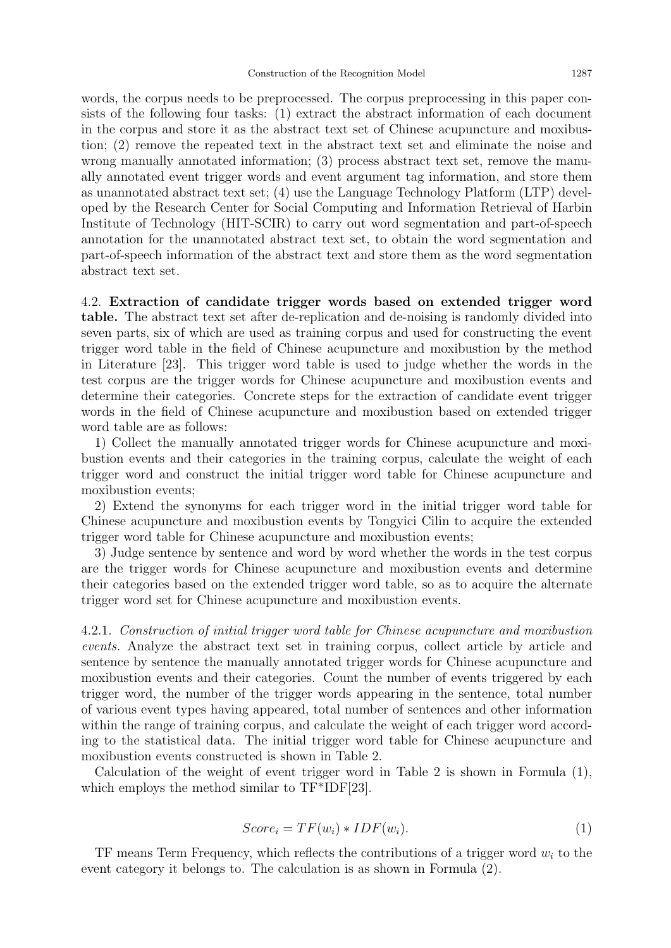words, the corpus needs to be preprocessed. The corpus preprocessing in this paper consists of the following four tasks: (1) extract the abstract information of each document in the corpus and store it as the abstract text set of Chinese acupuncture and moxibustion; (2) remove the repeated text in the abstract text set and eliminate the noise and wrong manually annotated information; (3) process abstract text set, remove the manually annotated event trigger words and event argument tag information, and store them as unannotated abstract text set; (4) use the Language Technology Platform (LTP) developed by the Research Center for Social Computing and Information Retrieval of Harbin Institute of Technology (HIT-SCIR) to carry out word segmentation and part-of-speech annotation for the unannotated abstract text set, to obtain the word segmentation and part-of-speech information of the abstract text and store them as the word segmentation abstract text set.

## 4.2. Extraction of candidate trigger words based on extended trigger word

table. The abstract text set after de-replication and de-noising is randomly divided into seven parts, six of which are used as training corpus and used for constructing the event trigger word table in the field of Chinese acupuncture and moxibustion by the method in Literature [23]. This trigger word table is used to judge whether the words in the test corpus are the trigger words for Chinese acupuncture and moxibustion events and determine their categories. Concrete steps for the extraction of candidate event trigger words in the field of Chinese acupuncture and moxibustion based on extended trigger word table are as follows:

1) Collect the manually annotated trigger words for Chinese acupuncture and moxibustion events and their categories in the training corpus, calculate the weight of each trigger word and construct the initial trigger word table for Chinese acupuncture and moxibustion events;

2) Extend the synonyms for each trigger word in the initial trigger word table for Chinese acupuncture and moxibustion events by Tongyici Cilin to acquire the extended trigger word table for Chinese acupuncture and moxibustion events;

3) Judge sentence by sentence and word by word whether the words in the test corpus are the trigger words for Chinese acupuncture and moxibustion events and determine their categories based on the extended trigger word table, so as to acquire the alternate trigger word set for Chinese acupuncture and moxibustion events.

4.2.1. Construction of initial trigger word table for Chinese acupuncture and moxibustion events. Analyze the abstract text set in training corpus, collect article by article and sentence by sentence the manually annotated trigger words for Chinese acupuncture and moxibustion events and their categories. Count the number of events triggered by each trigger word, the number of the trigger words appearing in the sentence, total number of various event types having appeared, total number of sentences and other information within the range of training corpus, and calculate the weight of each trigger word according to the statistical data. The initial trigger word table for Chinese acupuncture and moxibustion events constructed is shown in Table 2.

Calculation of the weight of event trigger word in Table 2 is shown in Formula (1), which employs the method similar to  $TF^*IDF[23]$ .

$$
Score_i = TF(w_i) * IDF(w_i). \tag{1}
$$

TF means Term Frequency, which reflects the contributions of a trigger word  $w_i$  to the event category it belongs to. The calculation is as shown in Formula (2).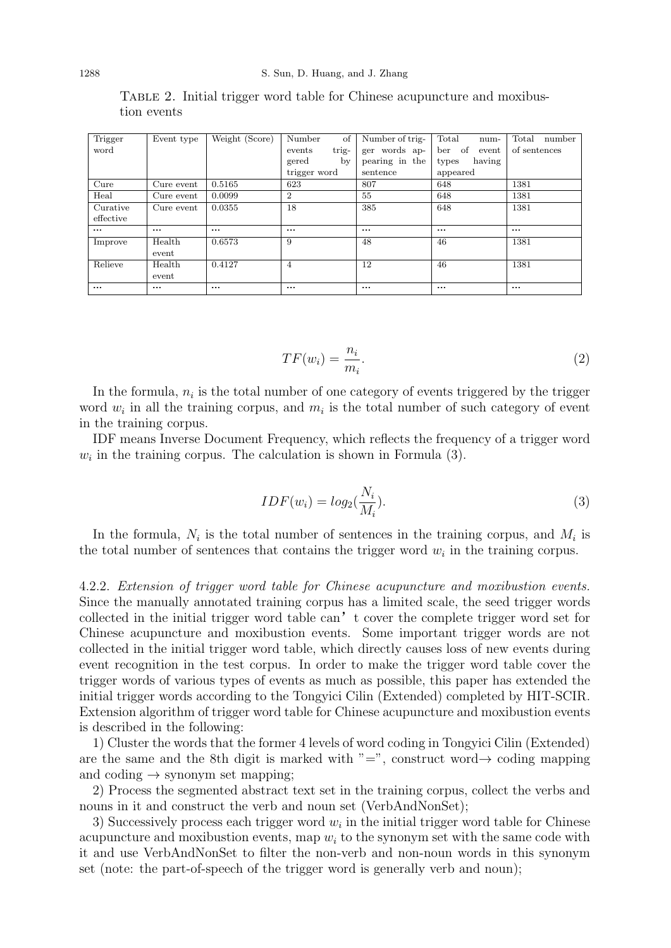Table 2. Initial trigger word table for Chinese acupuncture and moxibustion events

| Trigger   | Event type | Weight (Score) | Number<br>of    | Number of trig- | Total<br>num-      | Total<br>number |
|-----------|------------|----------------|-----------------|-----------------|--------------------|-----------------|
| word      |            |                | events<br>trig- | ger words ap-   | of<br>ber<br>event | of sentences    |
|           |            |                | gered<br>bv     | pearing in the  | having<br>types    |                 |
|           |            |                | trigger word    | sentence        | appeared           |                 |
| Cure      | Cure event | 0.5165         | 623             | 807             | 648                | 1381            |
| Heal      | Cure event | 0.0099         | $\overline{2}$  | 55              | 648                | 1381            |
| Curative  | Cure event | 0.0355         | 18              | 385             | 648                | 1381            |
| effective |            |                |                 |                 |                    |                 |
| $\cdots$  | $\cdots$   | $\cdots$       |                 | $\cdots$        | $\cdots$           | $\cdots$        |
| Improve   | Health     | 0.6573         | 9               | 48              | 46                 | 1381            |
|           | event      |                |                 |                 |                    |                 |
| Relieve   | Health     | 0.4127         | $\overline{4}$  | 12              | 46                 | 1381            |
|           | event      |                |                 |                 |                    |                 |
| $\cdots$  | $\cdots$   | $\cdots$       |                 | $\cdots$        |                    |                 |

$$
TF(w_i) = \frac{n_i}{m_i}.\tag{2}
$$

In the formula,  $n_i$  is the total number of one category of events triggered by the trigger word  $w_i$  in all the training corpus, and  $m_i$  is the total number of such category of event in the training corpus.

IDF means Inverse Document Frequency, which reflects the frequency of a trigger word  $w_i$  in the training corpus. The calculation is shown in Formula  $(3)$ .

$$
IDF(w_i) = log_2(\frac{N_i}{M_i}).
$$
\n(3)

In the formula,  $N_i$  is the total number of sentences in the training corpus, and  $M_i$  is the total number of sentences that contains the trigger word  $w_i$  in the training corpus.

4.2.2. Extension of trigger word table for Chinese acupuncture and moxibustion events. Since the manually annotated training corpus has a limited scale, the seed trigger words collected in the initial trigger word table can't cover the complete trigger word set for Chinese acupuncture and moxibustion events. Some important trigger words are not collected in the initial trigger word table, which directly causes loss of new events during event recognition in the test corpus. In order to make the trigger word table cover the trigger words of various types of events as much as possible, this paper has extended the initial trigger words according to the Tongyici Cilin (Extended) completed by HIT-SCIR. Extension algorithm of trigger word table for Chinese acupuncture and moxibustion events is described in the following:

1) Cluster the words that the former 4 levels of word coding in Tongyici Cilin (Extended) are the same and the 8th digit is marked with "=", construct word $\rightarrow$  coding mapping and coding  $\rightarrow$  synonym set mapping;

2) Process the segmented abstract text set in the training corpus, collect the verbs and nouns in it and construct the verb and noun set (VerbAndNonSet);

3) Successively process each trigger word  $w_i$  in the initial trigger word table for Chinese acupuncture and moxibustion events, map  $w_i$  to the synonym set with the same code with it and use VerbAndNonSet to filter the non-verb and non-noun words in this synonym set (note: the part-of-speech of the trigger word is generally verb and noun);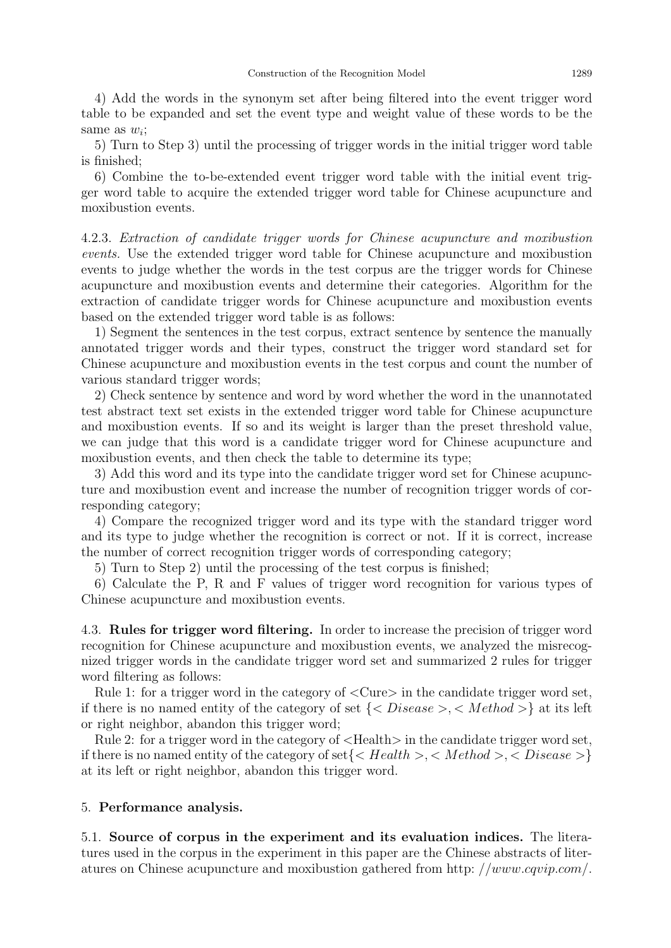4) Add the words in the synonym set after being filtered into the event trigger word table to be expanded and set the event type and weight value of these words to be the same as  $w_i$ ;

5) Turn to Step 3) until the processing of trigger words in the initial trigger word table is finished;

6) Combine the to-be-extended event trigger word table with the initial event trigger word table to acquire the extended trigger word table for Chinese acupuncture and moxibustion events.

4.2.3. Extraction of candidate trigger words for Chinese acupuncture and moxibustion events. Use the extended trigger word table for Chinese acupuncture and moxibustion events to judge whether the words in the test corpus are the trigger words for Chinese acupuncture and moxibustion events and determine their categories. Algorithm for the extraction of candidate trigger words for Chinese acupuncture and moxibustion events based on the extended trigger word table is as follows:

1) Segment the sentences in the test corpus, extract sentence by sentence the manually annotated trigger words and their types, construct the trigger word standard set for Chinese acupuncture and moxibustion events in the test corpus and count the number of various standard trigger words;

2) Check sentence by sentence and word by word whether the word in the unannotated test abstract text set exists in the extended trigger word table for Chinese acupuncture and moxibustion events. If so and its weight is larger than the preset threshold value, we can judge that this word is a candidate trigger word for Chinese acupuncture and moxibustion events, and then check the table to determine its type;

3) Add this word and its type into the candidate trigger word set for Chinese acupuncture and moxibustion event and increase the number of recognition trigger words of corresponding category;

4) Compare the recognized trigger word and its type with the standard trigger word and its type to judge whether the recognition is correct or not. If it is correct, increase the number of correct recognition trigger words of corresponding category;

5) Turn to Step 2) until the processing of the test corpus is finished;

6) Calculate the P, R and F values of trigger word recognition for various types of Chinese acupuncture and moxibustion events.

4.3. Rules for trigger word filtering. In order to increase the precision of trigger word recognition for Chinese acupuncture and moxibustion events, we analyzed the misrecognized trigger words in the candidate trigger word set and summarized 2 rules for trigger word filtering as follows:

Rule 1: for a trigger word in the category of <Cure> in the candidate trigger word set, if there is no named entity of the category of set  $\{, \}$  at its left or right neighbor, abandon this trigger word;

Rule 2: for a trigger word in the category of  $\leq$ Health $>$  in the candidate trigger word set, if there is no named entity of the category of set $\{, , \}$ at its left or right neighbor, abandon this trigger word.

## 5. Performance analysis.

5.1. Source of corpus in the experiment and its evaluation indices. The literatures used in the corpus in the experiment in this paper are the Chinese abstracts of literatures on Chinese acupuncture and moxibustion gathered from http: //www.cqvip.com/.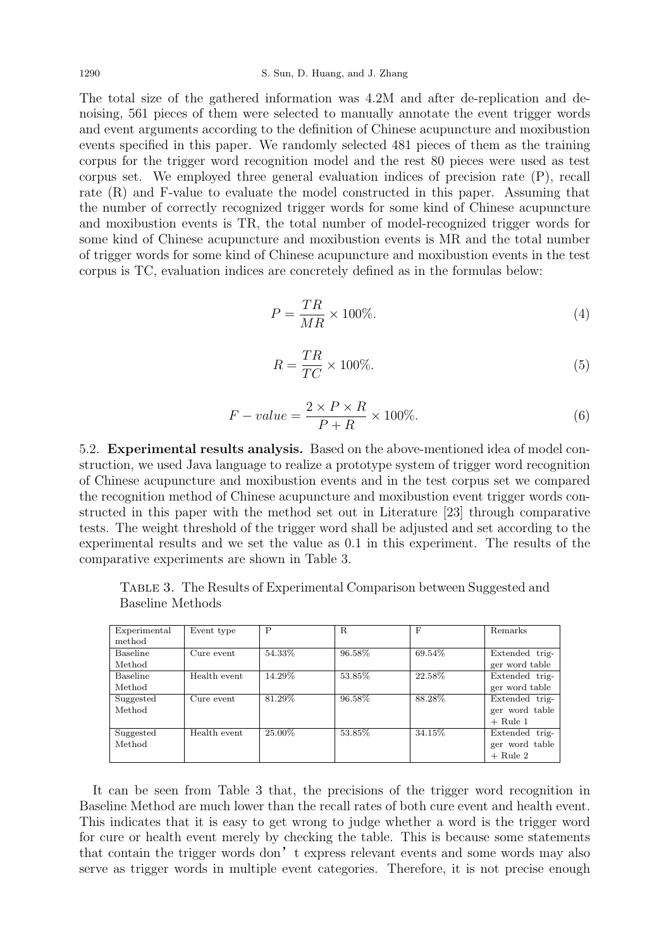The total size of the gathered information was 4.2M and after de-replication and denoising, 561 pieces of them were selected to manually annotate the event trigger words and event arguments according to the definition of Chinese acupuncture and moxibustion events specified in this paper. We randomly selected 481 pieces of them as the training corpus for the trigger word recognition model and the rest 80 pieces were used as test corpus set. We employed three general evaluation indices of precision rate (P), recall rate (R) and F-value to evaluate the model constructed in this paper. Assuming that the number of correctly recognized trigger words for some kind of Chinese acupuncture and moxibustion events is TR, the total number of model-recognized trigger words for some kind of Chinese acupuncture and moxibustion events is MR and the total number of trigger words for some kind of Chinese acupuncture and moxibustion events in the test corpus is TC, evaluation indices are concretely defined as in the formulas below:

$$
P = \frac{TR}{MR} \times 100\%.\tag{4}
$$

$$
R = \frac{TR}{TC} \times 100\%.\tag{5}
$$

$$
F-value = \frac{2 \times P \times R}{P + R} \times 100\%.
$$
 (6)

5.2. Experimental results analysis. Based on the above-mentioned idea of model construction, we used Java language to realize a prototype system of trigger word recognition of Chinese acupuncture and moxibustion events and in the test corpus set we compared the recognition method of Chinese acupuncture and moxibustion event trigger words constructed in this paper with the method set out in Literature [23] through comparative tests. The weight threshold of the trigger word shall be adjusted and set according to the experimental results and we set the value as 0.1 in this experiment. The results of the comparative experiments are shown in Table 3.

| Experimental    | Event type   | P      | R.     | F      | Remarks        |
|-----------------|--------------|--------|--------|--------|----------------|
| method          |              |        |        |        |                |
| <b>Baseline</b> | Cure event   | 54.33% | 96.58% | 69.54% | Extended trig- |
| Method          |              |        |        |        | ger word table |
| <b>Baseline</b> | Health event | 14.29% | 53.85% | 22.58% | Extended trig- |
| Method          |              |        |        |        | ger word table |
| Suggested       | Cure event   | 81.29% | 96.58% | 88.28% | Extended trig- |
| Method          |              |        |        |        | ger word table |
|                 |              |        |        |        | $+$ Rule 1     |
| Suggested       | Health event | 25.00% | 53.85% | 34.15% | Extended trig- |
| Method          |              |        |        |        | ger word table |
|                 |              |        |        |        | $+$ Rule 2     |

Table 3. The Results of Experimental Comparison between Suggested and Baseline Methods

It can be seen from Table 3 that, the precisions of the trigger word recognition in Baseline Method are much lower than the recall rates of both cure event and health event. This indicates that it is easy to get wrong to judge whether a word is the trigger word for cure or health event merely by checking the table. This is because some statements that contain the trigger words don't express relevant events and some words may also serve as trigger words in multiple event categories. Therefore, it is not precise enough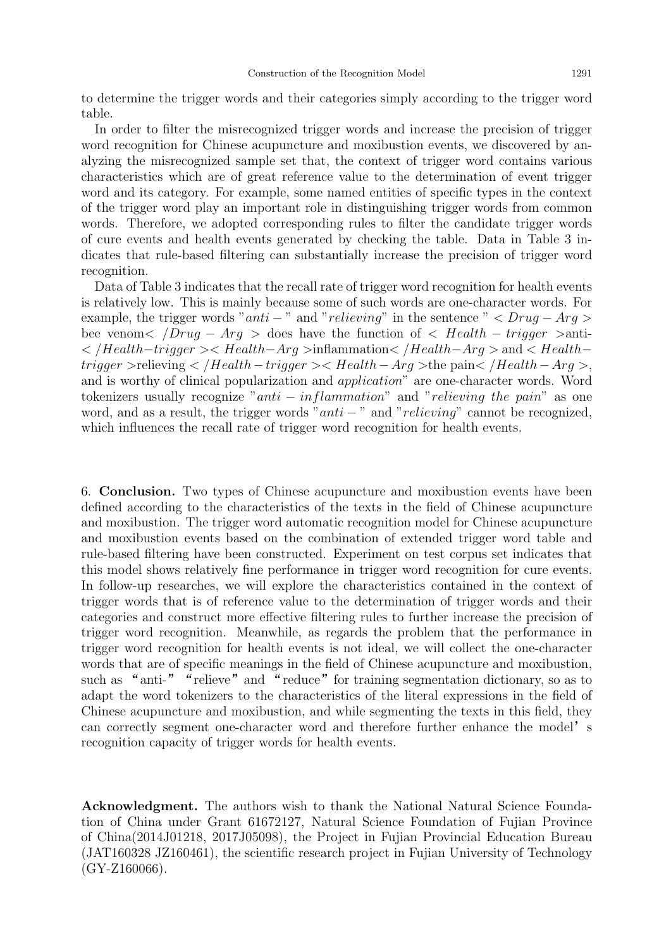to determine the trigger words and their categories simply according to the trigger word table.

In order to filter the misrecognized trigger words and increase the precision of trigger word recognition for Chinese acupuncture and moxibustion events, we discovered by analyzing the misrecognized sample set that, the context of trigger word contains various characteristics which are of great reference value to the determination of event trigger word and its category. For example, some named entities of specific types in the context of the trigger word play an important role in distinguishing trigger words from common words. Therefore, we adopted corresponding rules to filter the candidate trigger words of cure events and health events generated by checking the table. Data in Table 3 indicates that rule-based filtering can substantially increase the precision of trigger word recognition.

Data of Table 3 indicates that the recall rate of trigger word recognition for health events is relatively low. This is mainly because some of such words are one-character words. For example, the trigger words "anti – " and "relieving" in the sentence "  $\langle Druq - Arq \rangle$ bee venom<  $/Drug - Arg >$  does have the function of  $\langle Health - trigger >$ anti-< /Health−trigger >< Health−Arg >inflammation< /Health−Arg > and < Health−  $trigger >$ relieving  $\langle$  /Health –  $trigger > \langle$  Health – Arg >the pain $\langle$  /Health – Arg >, and is worthy of clinical popularization and application" are one-character words. Word tokenizers usually recognize "anti  $-$  inflammation" and "relieving the pain" as one word, and as a result, the trigger words "anti  $-$ " and "relieving" cannot be recognized, which influences the recall rate of trigger word recognition for health events.

6. Conclusion. Two types of Chinese acupuncture and moxibustion events have been defined according to the characteristics of the texts in the field of Chinese acupuncture and moxibustion. The trigger word automatic recognition model for Chinese acupuncture and moxibustion events based on the combination of extended trigger word table and rule-based filtering have been constructed. Experiment on test corpus set indicates that this model shows relatively fine performance in trigger word recognition for cure events. In follow-up researches, we will explore the characteristics contained in the context of trigger words that is of reference value to the determination of trigger words and their categories and construct more effective filtering rules to further increase the precision of trigger word recognition. Meanwhile, as regards the problem that the performance in trigger word recognition for health events is not ideal, we will collect the one-character words that are of specific meanings in the field of Chinese acupuncture and moxibustion, such as "anti-" "relieve" and "reduce" for training segmentation dictionary, so as to adapt the word tokenizers to the characteristics of the literal expressions in the field of Chinese acupuncture and moxibustion, and while segmenting the texts in this field, they can correctly segment one-character word and therefore further enhance the model's recognition capacity of trigger words for health events.

Acknowledgment. The authors wish to thank the National Natural Science Foundation of China under Grant 61672127, Natural Science Foundation of Fujian Province of China(2014J01218, 2017J05098), the Project in Fujian Provincial Education Bureau (JAT160328 JZ160461), the scientific research project in Fujian University of Technology (GY-Z160066).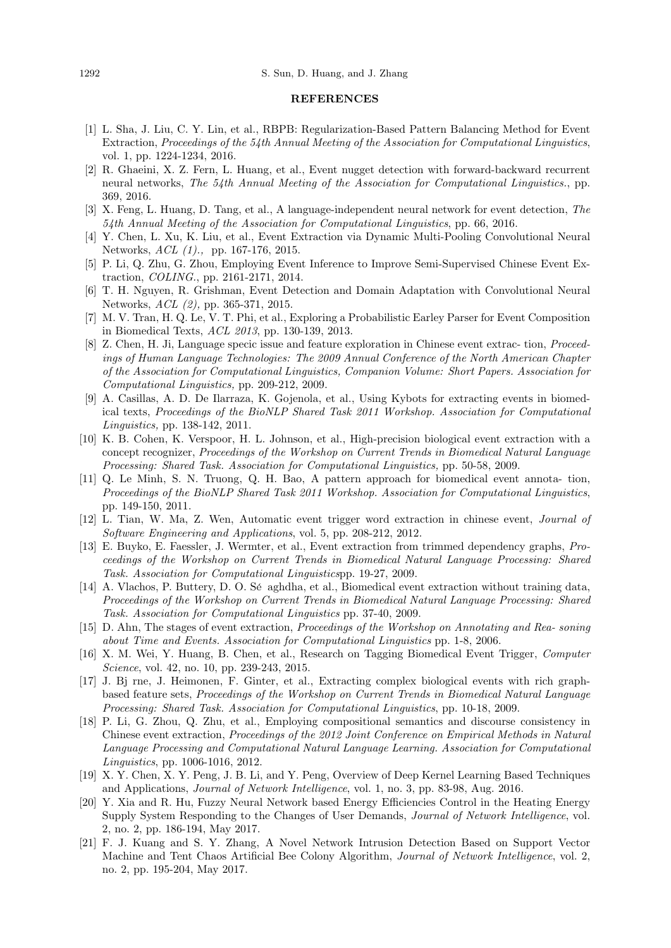## **REFERENCES**

- [1] L. Sha, J. Liu, C. Y. Lin, et al., RBPB: Regularization-Based Pattern Balancing Method for Event Extraction, Proceedings of the 54th Annual Meeting of the Association for Computational Linguistics, vol. 1, pp. 1224-1234, 2016.
- [2] R. Ghaeini, X. Z. Fern, L. Huang, et al., Event nugget detection with forward-backward recurrent neural networks, The 54th Annual Meeting of the Association for Computational Linguistics., pp. 369, 2016.
- [3] X. Feng, L. Huang, D. Tang, et al., A language-independent neural network for event detection, The 54th Annual Meeting of the Association for Computational Linguistics, pp. 66, 2016.
- [4] Y. Chen, L. Xu, K. Liu, et al., Event Extraction via Dynamic Multi-Pooling Convolutional Neural Networks, ACL (1)., pp. 167-176, 2015.
- [5] P. Li, Q. Zhu, G. Zhou, Employing Event Inference to Improve Semi-Supervised Chinese Event Extraction, COLING., pp. 2161-2171, 2014.
- [6] T. H. Nguyen, R. Grishman, Event Detection and Domain Adaptation with Convolutional Neural Networks, ACL (2), pp. 365-371, 2015.
- [7] M. V. Tran, H. Q. Le, V. T. Phi, et al., Exploring a Probabilistic Earley Parser for Event Composition in Biomedical Texts, ACL 2013, pp. 130-139, 2013.
- [8] Z. Chen, H. Ji, Language specic issue and feature exploration in Chinese event extrac- tion, Proceedings of Human Language Technologies: The 2009 Annual Conference of the North American Chapter of the Association for Computational Linguistics, Companion Volume: Short Papers. Association for Computational Linguistics, pp. 209-212, 2009.
- [9] A. Casillas, A. D. De Ilarraza, K. Gojenola, et al., Using Kybots for extracting events in biomedical texts, Proceedings of the BioNLP Shared Task 2011 Workshop. Association for Computational Linguistics, pp. 138-142, 2011.
- [10] K. B. Cohen, K. Verspoor, H. L. Johnson, et al., High-precision biological event extraction with a concept recognizer, Proceedings of the Workshop on Current Trends in Biomedical Natural Language Processing: Shared Task. Association for Computational Linguistics, pp. 50-58, 2009.
- [11] Q. Le Minh, S. N. Truong, Q. H. Bao, A pattern approach for biomedical event annota- tion, Proceedings of the BioNLP Shared Task 2011 Workshop. Association for Computational Linguistics, pp. 149-150, 2011.
- [12] L. Tian, W. Ma, Z. Wen, Automatic event trigger word extraction in chinese event, Journal of Software Engineering and Applications, vol. 5, pp. 208-212, 2012.
- [13] E. Buyko, E. Faessler, J. Wermter, et al., Event extraction from trimmed dependency graphs, Proceedings of the Workshop on Current Trends in Biomedical Natural Language Processing: Shared Task. Association for Computational Linguisticspp. 19-27, 2009.
- [14] A. Vlachos, P. Buttery, D. O. Sé aghdha, et al., Biomedical event extraction without training data, Proceedings of the Workshop on Current Trends in Biomedical Natural Language Processing: Shared Task. Association for Computational Linguistics pp. 37-40, 2009.
- [15] D. Ahn, The stages of event extraction, Proceedings of the Workshop on Annotating and Rea- soning about Time and Events. Association for Computational Linguistics pp. 1-8, 2006.
- [16] X. M. Wei, Y. Huang, B. Chen, et al., Research on Tagging Biomedical Event Trigger, Computer Science, vol. 42, no. 10, pp. 239-243, 2015.
- [17] J. Bj rne, J. Heimonen, F. Ginter, et al., Extracting complex biological events with rich graphbased feature sets, Proceedings of the Workshop on Current Trends in Biomedical Natural Language Processing: Shared Task. Association for Computational Linguistics, pp. 10-18, 2009.
- [18] P. Li, G. Zhou, Q. Zhu, et al., Employing compositional semantics and discourse consistency in Chinese event extraction, Proceedings of the 2012 Joint Conference on Empirical Methods in Natural Language Processing and Computational Natural Language Learning. Association for Computational Linguistics, pp. 1006-1016, 2012.
- [19] X. Y. Chen, X. Y. Peng, J. B. Li, and Y. Peng, Overview of Deep Kernel Learning Based Techniques and Applications, Journal of Network Intelligence, vol. 1, no. 3, pp. 83-98, Aug. 2016.
- [20] Y. Xia and R. Hu, Fuzzy Neural Network based Energy Efficiencies Control in the Heating Energy Supply System Responding to the Changes of User Demands, Journal of Network Intelligence, vol. 2, no. 2, pp. 186-194, May 2017.
- [21] F. J. Kuang and S. Y. Zhang, A Novel Network Intrusion Detection Based on Support Vector Machine and Tent Chaos Artificial Bee Colony Algorithm, Journal of Network Intelligence, vol. 2, no. 2, pp. 195-204, May 2017.